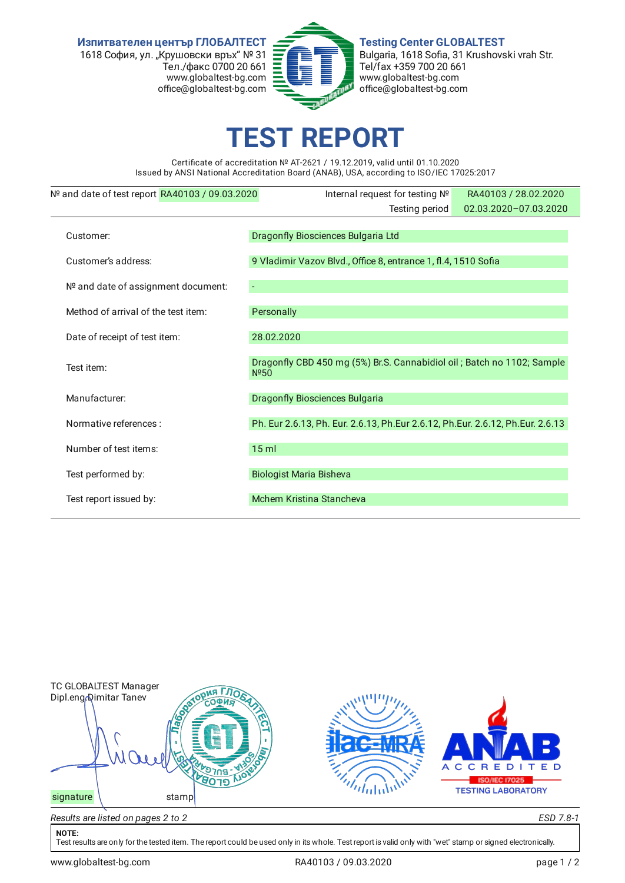**Изпитвателен център ГЛОБАЛТЕСТ** 1618 София, ул. "Крушовски връх" № 31 Тел./факс 0700 20 661 www.globaltest-bg.com office@globaltest-bg.com



**Testing Center GLOBALTEST** Bulgaria, 1618 Sofia, 31 Krushovski vrah Str. Tel/fax +359 700 20 661 www.globaltest-bg.com office@globaltest-bg.com

## **EST REPO**

Certificate of accreditation № AT-2621 / 19.12.2019, valid until 01.10.2020 Issued by ANSI National Accreditation Board (ANAB), USA, according to ISO/IEC 17025:2017

| Nº and date of test report RA40103 / 09.03.2020 | Internal request for testing Nº                                                             | RA40103 / 28.02.2020  |  |  |  |
|-------------------------------------------------|---------------------------------------------------------------------------------------------|-----------------------|--|--|--|
|                                                 | Testing period                                                                              | 02.03.2020-07.03.2020 |  |  |  |
| Customer:                                       | Dragonfly Biosciences Bulgaria Ltd                                                          |                       |  |  |  |
|                                                 |                                                                                             |                       |  |  |  |
| Customer's address:                             | 9 Vladimir Vazov Blvd., Office 8, entrance 1, fl.4, 1510 Sofia                              |                       |  |  |  |
| Nº and date of assignment document:             |                                                                                             |                       |  |  |  |
| Method of arrival of the test item:             | Personally                                                                                  |                       |  |  |  |
| Date of receipt of test item:                   | 28.02.2020                                                                                  |                       |  |  |  |
| Test item:                                      | Dragonfly CBD 450 mg (5%) Br.S. Cannabidiol oil; Batch no 1102; Sample<br>N <sup>°</sup> 50 |                       |  |  |  |
| Manufacturer:                                   | <b>Dragonfly Biosciences Bulgaria</b>                                                       |                       |  |  |  |
| Normative references :                          | Ph. Eur 2.6.13, Ph. Eur. 2.6.13, Ph.Eur 2.6.12, Ph.Eur. 2.6.12, Ph.Eur. 2.6.13              |                       |  |  |  |
| Number of test items:                           | $15$ ml                                                                                     |                       |  |  |  |
| Test performed by:                              | <b>Biologist Maria Bisheva</b>                                                              |                       |  |  |  |
| Test report issued by:                          | Mchem Kristina Stancheva                                                                    |                       |  |  |  |



## **NOTE:**

Test results are only for the tested item. The report could be used only in its whole. Test report is valid only with "wet" stamp or signed electronically.